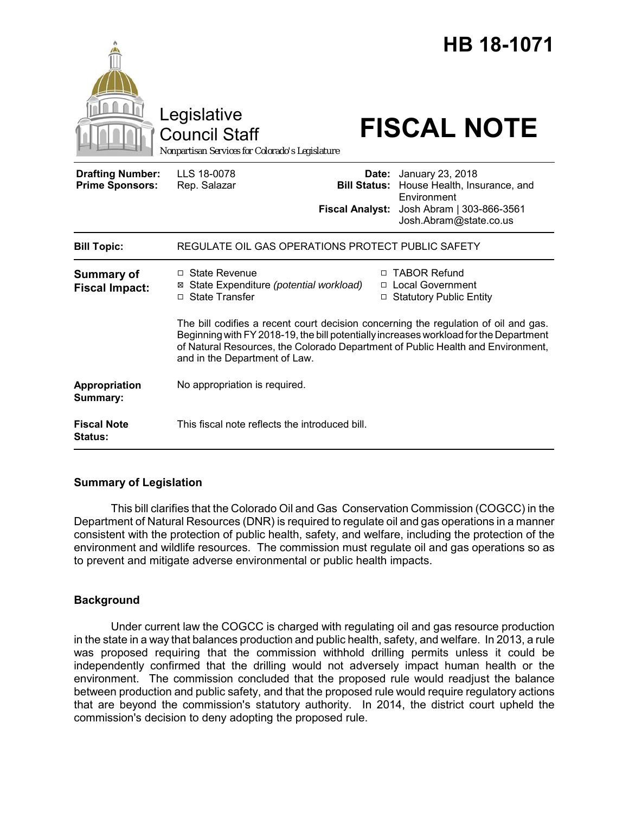|                                                   | Legislative<br><b>Council Staff</b><br>Nonpartisan Services for Colorado's Legislature                                                                                                                                                                                                           |                                                        | HB 18-1071<br><b>FISCAL NOTE</b>                                                                                       |
|---------------------------------------------------|--------------------------------------------------------------------------------------------------------------------------------------------------------------------------------------------------------------------------------------------------------------------------------------------------|--------------------------------------------------------|------------------------------------------------------------------------------------------------------------------------|
| <b>Drafting Number:</b><br><b>Prime Sponsors:</b> | LLS 18-0078<br>Rep. Salazar                                                                                                                                                                                                                                                                      | Date:<br><b>Bill Status:</b><br><b>Fiscal Analyst:</b> | January 23, 2018<br>House Health, Insurance, and<br>Environment<br>Josh Abram   303-866-3561<br>Josh.Abram@state.co.us |
| <b>Bill Topic:</b>                                | REGULATE OIL GAS OPERATIONS PROTECT PUBLIC SAFETY                                                                                                                                                                                                                                                |                                                        |                                                                                                                        |
| <b>Summary of</b><br><b>Fiscal Impact:</b>        | $\Box$ State Revenue<br>State Expenditure (potential workload)<br>⊠<br>□ State Transfer                                                                                                                                                                                                          |                                                        | □ TABOR Refund<br>□ Local Government<br>□ Statutory Public Entity                                                      |
|                                                   | The bill codifies a recent court decision concerning the regulation of oil and gas.<br>Beginning with FY 2018-19, the bill potentially increases workload for the Department<br>of Natural Resources, the Colorado Department of Public Health and Environment,<br>and in the Department of Law. |                                                        |                                                                                                                        |
| Appropriation<br>Summary:                         | No appropriation is required.                                                                                                                                                                                                                                                                    |                                                        |                                                                                                                        |
| <b>Fiscal Note</b><br>Status:                     | This fiscal note reflects the introduced bill.                                                                                                                                                                                                                                                   |                                                        |                                                                                                                        |

### **Summary of Legislation**

This bill clarifies that the Colorado Oil and Gas Conservation Commission (COGCC) in the Department of Natural Resources (DNR) is required to regulate oil and gas operations in a manner consistent with the protection of public health, safety, and welfare, including the protection of the environment and wildlife resources. The commission must regulate oil and gas operations so as to prevent and mitigate adverse environmental or public health impacts.

# **Background**

Under current law the COGCC is charged with regulating oil and gas resource production in the state in a way that balances production and public health, safety, and welfare. In 2013, a rule was proposed requiring that the commission withhold drilling permits unless it could be independently confirmed that the drilling would not adversely impact human health or the environment. The commission concluded that the proposed rule would readjust the balance between production and public safety, and that the proposed rule would require regulatory actions that are beyond the commission's statutory authority. In 2014, the district court upheld the commission's decision to deny adopting the proposed rule.